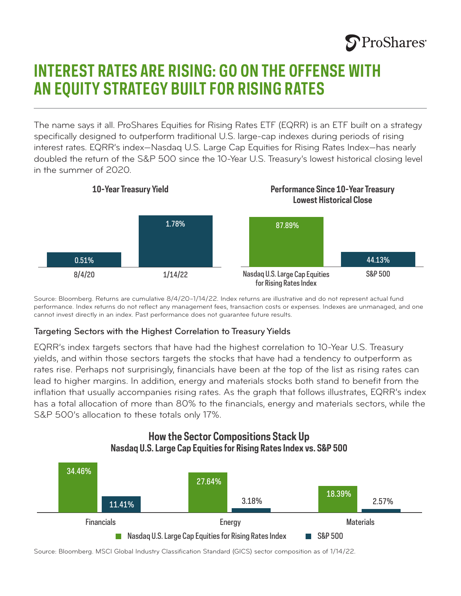# **S**ProShares<sup>®</sup>

## **INTEREST RATES ARE RISING: GO ON THE OFFENSE WITH AN EQUITY STRATEGY BUILT FOR RISING RATES**

The name says it all. ProShares Equities for Rising Rates ETF (EQRR) is an ETF built on a strategy specifically designed to outperform traditional U.S. large-cap indexes during periods of rising interest rates. EQRR's index—Nasdaq U.S. Large Cap Equities for Rising Rates Index—has nearly doubled the return of the S&P 500 since the 10-Year U.S. Treasury's lowest historical closing level in the summer of 2020.



Source: Bloomberg. Returns are cumulative 8/4/20–1/14/22. Index returns are illustrative and do not represent actual fund performance. Index returns do not reflect any management fees, transaction costs or expenses. Indexes are unmanaged, and one cannot invest directly in an index. Past performance does not guarantee future results.

### Targeting Sectors with the Highest Correlation to Treasury Yields

EQRR's index targets sectors that have had the highest correlation to 10-Year U.S. Treasury yields, and within those sectors targets the stocks that have had a tendency to outperform as rates rise. Perhaps not surprisingly, financials have been at the top of the list as rising rates can lead to higher margins. In addition, energy and materials stocks both stand to benefit from the inflation that usually accompanies rising rates. As the graph that follows illustrates, EQRR's index has a total allocation of more than 80% to the financials, energy and materials sectors, while the S&P 500's allocation to these totals only 17%.





Source: Bloomberg. MSCI Global Industry Classification Standard (GICS) sector composition as of 1/14/22.